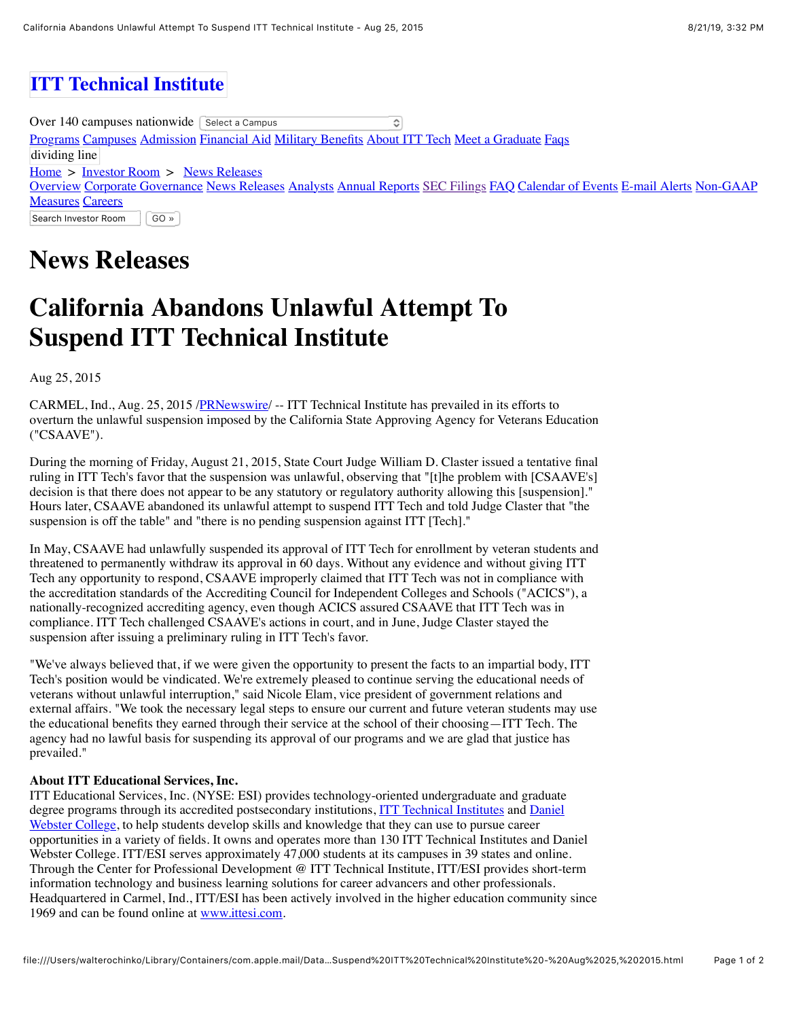## **[ITT Technical Institute](file:///Users/walterochinko/Library/Containers/com.apple.mail/Data/Library/Mail%20Downloads/C84E9603-74AA-488E-A569-ECB68C3095C0/index.php)**

Over  $140$  campuses nationwide  $\sqrt{\ }$  Select a Campus  $\hat{\mathbf{c}}$ [Programs](http://www.itt-tech.edu/programs/) [Campuses](http://www.itt-tech.edu/campus/) [Admission](http://www.itt-tech.edu/admissions/) [Financial Aid](http://www.itt-tech.edu/fa.cfm) [Military Benefits](http://military.itt-tech.edu/) [About ITT Tech](http://www.itt-tech.edu/about.cfm) [Meet a Graduate](http://www.itt-tech.edu/stories/) [Faqs](http://www.itt-tech.edu/faq/) dividing line  $Home$  > [Investor Room](file:///Users/walterochinko/Library/Containers/com.apple.mail/Data/Library/Mail%20Downloads/C84E9603-74AA-488E-A569-ECB68C3095C0/index.php) > [News Releases](http://www.ittesi.com/index.php?s=43) [Overview](http://www.ittesi.com/index.php?s=45) [C](http://www.ittesi.com/index.php?s=67)[orporate Governance](http://www.ittesi.com/index.php?s=64) [News Releases](http://www.ittesi.com/index.php?s=43) [Analysts](http://www.ittesi.com/index.php?s=119) [Annual Reports](http://www.ittesi.com/index.php?s=120) [SEC Filings](http://www.ittesi.com/index.php?s=127) [FAQ](http://www.ittesi.com/index.php?s=52) [Calendar of Events](http://www.ittesi.com/index.php?s=19) [E-mail Alerts](http://www.ittesi.com/index.php?s=58) Non-GAAP **Measures [Careers](https://careers-itt-tech.icims.com/jobs/intro)** Search Investor Room GO »

## **News Releases**

## **California Abandons Unlawful Attempt To Suspend ITT Technical Institute**

Aug 25, 2015

CARMEL, Ind., Aug. 25, 2015 [/PRNewswire/](http://www.prnewswire.com/) -- ITT Technical Institute has prevailed in its efforts to overturn the unlawful suspension imposed by the California State Approving Agency for Veterans Education ("CSAAVE").

During the morning of Friday, August 21, 2015, State Court Judge William D. Claster issued a tentative final ruling in ITT Tech's favor that the suspension was unlawful, observing that "[t]he problem with [CSAAVE's] decision is that there does not appear to be any statutory or regulatory authority allowing this [suspension]." Hours later, CSAAVE abandoned its unlawful attempt to suspend ITT Tech and told Judge Claster that "the suspension is off the table" and "there is no pending suspension against ITT [Tech]."

In May, CSAAVE had unlawfully suspended its approval of ITT Tech for enrollment by veteran students and threatened to permanently withdraw its approval in 60 days. Without any evidence and without giving ITT Tech any opportunity to respond, CSAAVE improperly claimed that ITT Tech was not in compliance with the accreditation standards of the Accrediting Council for Independent Colleges and Schools ("ACICS"), a nationally-recognized accrediting agency, even though ACICS assured CSAAVE that ITT Tech was in compliance. ITT Tech challenged CSAAVE's actions in court, and in June, Judge Claster stayed the suspension after issuing a preliminary ruling in ITT Tech's favor.

"We've always believed that, if we were given the opportunity to present the facts to an impartial body, ITT Tech's position would be vindicated. We're extremely pleased to continue serving the educational needs of veterans without unlawful interruption," said Nicole Elam, vice president of government relations and external affairs. "We took the necessary legal steps to ensure our current and future veteran students may use the educational benefits they earned through their service at the school of their choosing—ITT Tech. The agency had no lawful basis for suspending its approval of our programs and we are glad that justice has prevailed."

## **About ITT Educational Services, Inc.**

ITT Educational Services, Inc. (NYSE: ESI) provides technology-oriented undergraduate and graduate [degree programs through its accredited postsecondary institutions, I](http://www.dwc.edu/)[TT Technical Institutes](http://www.itt-tech.edu/) [and Daniel](http://www.dwc.edu/) Webster College, to help students develop skills and knowledge that they can use to pursue career opportunities in a variety of fields. It owns and operates more than 130 ITT Technical Institutes and Daniel Webster College. ITT/ESI serves approximately 47,000 students at its campuses in 39 states and online. Through the Center for Professional Development @ ITT Technical Institute, ITT/ESI provides short-term information technology and business learning solutions for career advancers and other professionals. Headquartered in Carmel, Ind., ITT/ESI has been actively involved in the higher education community since 1969 and can be found online at [www.ittesi.com](http://www.ittesi.com/).